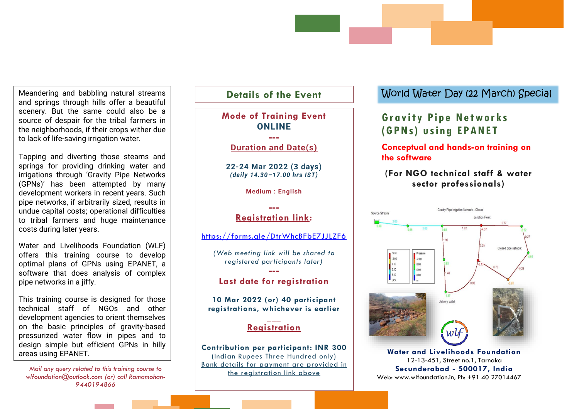Meandering and babbling natural streams and springs through hills offer a beautiful scenery. But the same could also be a source of despair for the tribal farmers in the neighborhoods, if their crops wither due to lack of life-saving irrigation water.

Tapping and diverting those steams and springs for providing drinking water and irrigations through 'Gravity Pipe Networks (GPNs)' has been attempted by many development workers in recent years. Such pipe networks, if arbitrarily sized, results in undue capital costs; operational difficulties to tribal farmers and huge maintenance costs during later years.

Water and Livelihoods Foundation (WLF) offers this training course to develop optimal plans of GPNs using EPANET, a software that does analysis of complex pipe networks in a jiffy.

This training course is designed for those technical staff of NGOs and other development agencies to orient themselves on the basic principles of gravity-based pressurized water flow in pipes and to design simple but efficient GPNs in hilly areas using EPANET.

*Mail any query related to this training course to wlfoundation@outlook.com (or) call Ramamohan-9440194866*

## **Details of the Event Mode of Training Event ONLINE --- Duration and Date(s) 22-24 Mar 2022 (3 days)** *(daily 14.30–17.00 hrs IST)* **Medium : English ---** Source Stream **Registration link:** <https://forms.gle/DtrWhcBFbE7JJLZF6> *(Web meeting link will be shared to*   $-2.00$ *registered participants later)* 0.00 2.00 **---**  $5.00$ **Last date for registration 10 Mar 2022 (or) 40 participant registrations, whichever is earlier \_\_\_ Registration Contribution per participant: INR 300** (Indian Rupees Three Hundred only) Bank details for payment are provided in the registration link above **\_\_\_**

## World Water Day (22 March) Special

# **Gr a v i t y P i p e Ne tw or ks ( G P N s) u s in g EP A N E T**

### **Conceptual and hands-on training on the software**

## **(For NGO technical staff & water sector professionals)**



**Water and Livelihoods Foundation** 12-13-451, Street no.1, Tarnaka **Secunderabad - 500017, India** Web: [www.wlfoundation.in,](http://www.wlfoundation.in/) Ph: +91 40 27014467